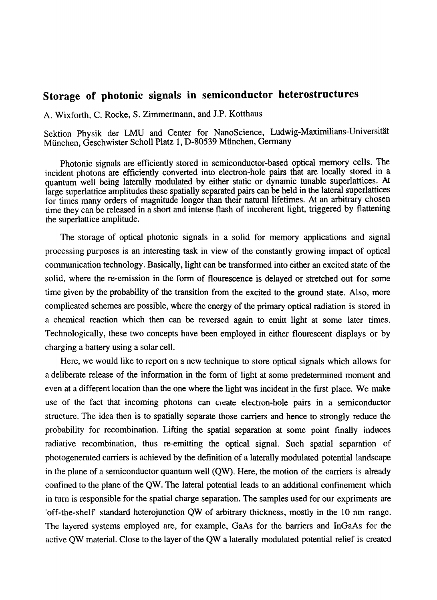## **Storage of photonic signals in semiconductor heterostructures**

A. Wixforth, C. Rocke, S. Zimmermann, and J.P. Kotthaus

Sektion Physik der LMU and Center for NanoScience, Ludwig-Maximilians-Universität München, Geschwister Scholl Platz 1, D-80539 München, Germany

Photonic signals are efficiently stored in semiconductor-based optical memory cells. The incident photons are efficiently converted into electron-hole pairs that are locally stored in a quantum well being laterally modulated by either static or dynamic tunable superlattices. At large superlattice amplitudes these spatially separated pairs can be held in the lateral superlattices for times many orders of magnitude longer than their natural lifetimes. At an arbitrary chosen time they can be released in a short and intense flash of incoherent light, triggered by flattening the superlattice amplitude.

The storage of optical photonic signals in a solid for memory applications and signal processing purposes is an interesting task in view of the constantly growing impact of optical communication technology. Basically, light can be transformed into either an excited state of the solid, where the re-emission in the form of flourescence is delayed or stretched out for some time given by the probability of the transition from the excited to the ground state. Also, more complicated schemes are possible, where the energy of the primary optical radiation is stored in a chemical reaction which then can be reversed again to ernitt light at some later times. Technologically, these two concepts have been employed in either flourescent displays or by charging a battery using a solar cell.

Here, we would like to report on a new technique to store optical signals which allows for a deliberate release of the information in the form of light at some predetermined moment and even at a different location than the one where the light was incident in the first place. We make use of the fact that incoming photons can create electron-hole pairs in a semiconductor structure. The idea then is to spatially separate those carriers and hence to strongly reduce the probability for recombination. Lifting the spatial separation at some point finally induces radiative recombination, thus re-emitting the optical signal. Such spatial separation of photogenerated carriers is achieved by the definition of a laterally modulated potential landscape in the plane of a semiconductor quantum well (QW). Here, the motion of the carriers is already confined to the plane of the QW. The lateral potential leads to an additional confinement which in turn is responsible for the spatial charge separation. The samples used for our expriments are 'off-the-shelf standard heterojunction QW of arbitrary thickness, mostly in the 10 nm range. The layered systems employed are, for example, GaAs for the barriers and InGaAs for the active QW material. Close to the layer of the QW a laterally modulated potential relief is created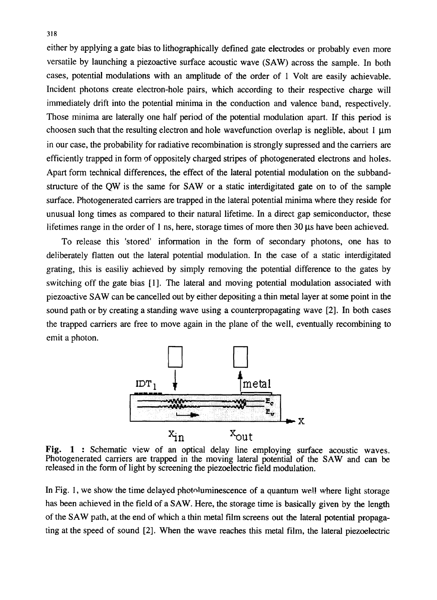*either* by applying a gate bias to lithographically defined gate electrodes or probably even more versatile by launching a piezoactive surface acoustic wave (SAW) across the sample. In both cases, potential modulations with an amplitude of the order of 1 Volt are easily achievable. Incident photons create electron-hole pairs, which according to their respective charge will immediately drift into the potential minima in the conduction and valence band, respectively. Those minima are laterally one half period of the potential modulation apart. If this period is choosen such that the resulting electron and hole wavefunction overlap is neglible, about  $1 \mu m$ in our case, the probability for radiative recombination is strongly supressed and the carriers are efficiently trapped in form of oppositely charged stripes of photogenerated electrons and holes. Apart form technical differences, the effect of the lateral potential modulation on the subbandstructure of the QW is the same for SAW or a static interdigitated gate on to of the sample surface. Photogenerated carriers are trapped in the lateral potential minima where they reside for unusual long times as compared to their natural lifetime. In a direct gap semiconductor, these lifetimes range in the order of 1 ns, here, storage times of more then  $30 \mu s$  have been achieved.

To release this 'stored' information in the form of secondary photons, one has to deliberately flatten out the lateral potential modulation. In the case of a static interdigitated grating, this is easiliy achieved by simply removing the potential difference to the gates by switching off the gate bias [11. The lateral and moving potential modulation associated with piezoactive SAW can be cancelled out by either depositing a thin metal layer at some point in the sound path or by creating a standing wave using a counterpropagating wave [2]. In both cases the trapped carriers are free to move again in the plane of the well, eventually recombining to emit a photon.



**Fig. 1** : Schematic view of an optical delay line employing surface acoustic waves. Photogenerated carriers are trapped in the moving lateral potential of the SAW and can be released in the form of light by screening the piezoelectric field modulation.

In Fig. 1, we show the time delayed photoluminescence of a quantum wel! where light storage has been achieved in the field of a SAW. Here, the storage time is basically given by the length of the SAW path, at the end of which a thin metal film screens out the lateral potential propagating at the speed of sound [2]. When the wave reaches this metal film, the lateral piezoelectric